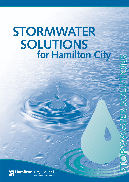# **STORMWATER SOLUTIONS for Hamilton City**

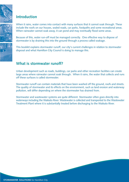

# **Introduction**

When it rains, water comes into contact with many surfaces that it cannot soak through. These include the roofs on our houses, sealed roads, car parks, footpaths and some recreational areas. When rainwater cannot soak away, it can pond and may eventually flood some areas.

Because of this, water run-off must be managed correctly. One effective way to dispose of stormwater is by draining this into the ground through a process called soakage.

This booklet explains stormwater runoff, our city's current challenges in relation to stormwater disposal and what Hamilton City Council is doing to manage this.

## **What is stormwater runoff?**

Urban development such as roads, buildings, car parks and other recreation facilities can create large areas where rainwater cannot soak through. When it rains, the water that collects and runs off these surfaces is called stormwater.

Stormwater runoff can contain materials that have been washed off the ground, roofs and streets. The quality of stormwater and its effects on the environment, such as land erosion and waterway pollution, will differ depending on where the stormwater has drained from.

Stormwater and wastewater systems are quite different. Stormwater often goes directly into waterways including the Waikato River. Wastewater is collected and transported to the Wastewater Treatment Plant where it is substantially treated before discharging to the Waikato River.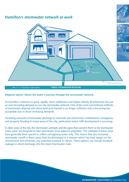

#### Diagram above: Shows the water's journey through the stormwater network.

As Hamilton continues to grow rapidly, more subdivision and higher density development has put an ever-increasing demand on our city stormwater network. One of the most conventional methods of stormwater disposal into street kerb and channel is no longer sufficient and is becoming less acceptable due to these increasing demands.

Increasing amounts of stormwater discharge to road kerb and channel has contributed to carriageway and property flooding in many areas of the city, particularly where infill development is occurring.

In older areas of the city, the stormwater catchpits and the pipes that connect them to the stormwater mains were not designed to take stormwater from adjacent properties. The catchpits in these areas have generally been spaced to collect carriageway water only. This means that any increased stormwater runoff in these areas must be discharged in a manner which has least impact on the environment and minimises any potential nuisance to others. These options can include localised soakage or direct discharge into the street stormwater main.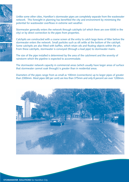

Unlike some other cities, Hamilton's stormwater pipes are completely separate from the wastewater network. This foresight in planning has benefited the city and environment by minimising the potential for wastewater overflows in extreme wet weather.

Stormwater generally enters the network through catchpits (of which there are over 8300 in the city) or by direct connection to the pipes from properties.

Catchpits are constructed with a coarse screen at the entry to catch large items of litter before the stormwater enters the network. Small particles such as silt settle at the bottom of the catchpit. Some catchpits are also fitted with baffles, which retain oils and floating objects within the pit. From these catchpits, stormwater is conveyed (through a lead pipe) to stormwater mains.

The size of the pipe installed is determined by the area of the catchment and the severity of rainstorm which the pipeline is expected to accommodate.

The stormwater network capacity in commercial areas (which usually have larger areas of surface that stormwater cannot soak through) is greater than in residential areas.

Diameters of the pipes range from as small as 100mm (connections) up to larger pipes of greater than 2300mm. Most pipes (60 per cent) are less than 375mm and only 8 percent are over 1200mm.

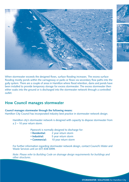



## **How Council manages stormwater**

#### **Council manages stormwater through the following means:**

Hamilton City Council has incorporated industry best practice in stormwater network design.

Hamilton city's stormwater network is designed with capacity to dispose stormwater from a 2 – 10 year return storm.

Pipework is normally designed to discharge for:

- **Residential:** 2 year return storm
- 
- **Industrial:** 5 year return storm
- **Commercial:** 10 year return storm

For further information regarding stormwater network design, contact Council's Water and Waste Services unit on (07) 838 6999.

*Note: Please refer to Building Code on drainage design requirements for buildings and other structures.*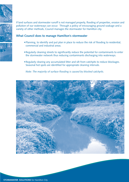

If land surfaces and stormwater runoff is not managed properly, flooding of properties, erosion and pollution of our waterways can occur. Through a policy of encouraging ground soakage and a variety of other methods, Council manages the stormwater for Hamilton city.

#### **What Council does to manage Hamilton's stormwater**

- •Planning, to identify and put plan in place to reduce the risk of flooding to residential, commercial and industrial areas.
- •Regularly cleaning streets to significantly reduce the potential for contaminants to enter the stormwater network thus reducing contaminants discharging into waterways.
- •Regularly clearing any accumulated litter and silt from catchpits to reduce blockages. Seasonal hot spots are identified for appropriate cleaning intervals.

*Note: The majority of surface flooding is caused by blocked catchpits.*

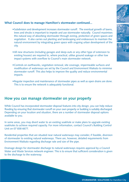#### **What Council does to manage Hamilton's stormwater continued...**

- •Subdivision and development increases stormwater runoff. The eventual growth of lawns, trees and shrubs is important to impede and use stormwater naturally. Council maximises this natural way of absorbing stormwater through zoning, protection of green spaces and vegetation. It also carries out planting and landscaping and endeavours to maintain the natural environment by integrating green space with ongoing urban development of the city.
- •All new structures (including garages and sleep-outs or any other type of extension to existing houses) are required to, where practical, utilise ground soakage or other low impact systems with overflow to Council's main stormwater network.
- •Controls on earthworks, vegetation removal, site coverage, impermeable surfaces and modification of waterways are set by the Council and Environment Waikato to minimise stormwater runoff. This also helps to improve the quality and reduce environmental impacts.
- •Regular inspection and maintenance of stormwater pipes as well as open drains are done. This is to ensure the network is adequately functional.

## **How you can manage stormwater on your property**

While Council has incorporated stormwater disposal features into city design, you can help reduce flooding by ensuring that stormwater runoff on your own property or building is suitably discharged. Depending on your location and situation, there are a number of stormwater disposal options available to you.

In some areas, you may divert water to an existing soakhole or make plans to upgrade existing soakholes to achieve required capacity. For more information, contact Council's Building Control Unit on 07 838 6677.

Residential properties that are situated near natural waterways may consider, if feasible, diversion of stormwater to existing natural waterways. There are, however, detailed requirements from Environment Waikato regarding discharge rate and size of the pipe.

Drainage design for stormwater discharge to natural waterways requires approval by a Council Water and Waste Services network engineer. This is to ensure that sufficient consideration is given to the discharge to the waterway.